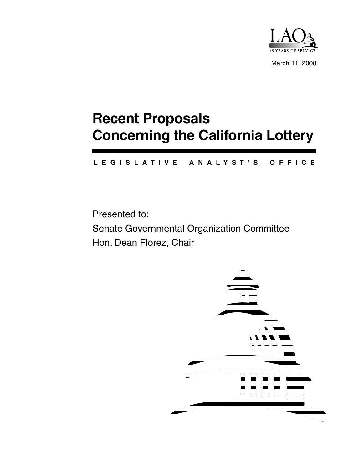

March 11, 2008

# **Recent Proposals Concerning the California Lottery**

#### **L E G I S L A T I V E A N A L Y S T ' S O F F I C E**

Presented to: Senate Governmental Organization Committee Hon. Dean Florez, Chair

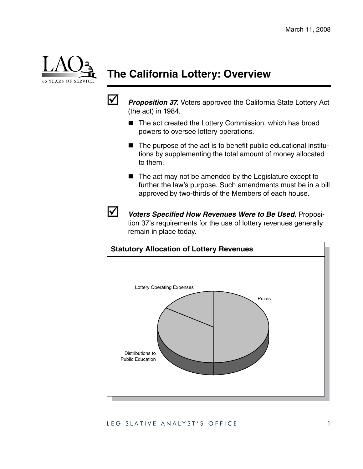

# **The California Lottery: Overview**



**1** Proposition 37. Voters approved the California State Lottery Act (the act) in 1984.

- The act created the Lottery Commission, which has broad powers to oversee lottery operations.
- The purpose of the act is to benefit public educational institutions by supplementing the total amount of money allocated to them.
- $\blacksquare$  The act may not be amended by the Legislature except to further the law's purpose. Such amendments must be in a bill approved by two-thirds of the Members of each house.



; *Voters Specified How Revenues Were to Be Used.* Proposition 37's requirements for the use of lottery revenues generally remain in place today.



#### LEGISLATIVE ANALYST'S OFFICE 1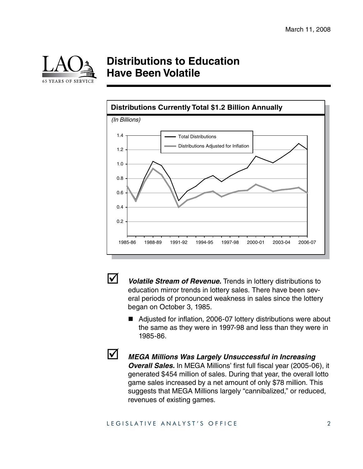

### **Distributions to Education Have Been Volatile**





**V** *Volatile Stream of Revenue.* Trends in lottery distributions to education mirror trends in lottery sales. There have been several periods of pronounced weakness in sales since the lottery began on October 3, 1985.

- Adjusted for inflation, 2006-07 lottery distributions were about the same as they were in 1997-98 and less than they were in 1985-86.
- 

; *MEGA Millions Was Largely Unsuccessful in Increasing Overall Sales.* In MEGA Millions' first full fiscal year (2005-06), it generated \$454 million of sales. During that year, the overall lotto game sales increased by a net amount of only \$78 million. This suggests that MEGA Millions largely "cannibalized," or reduced, revenues of existing games.

#### LEGISLATIVE ANALYST'S OFFICE 2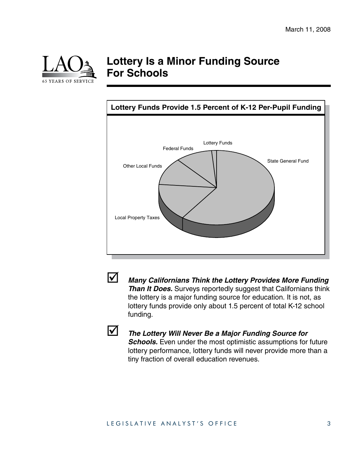

### **Lottery Is a Minor Funding Source For Schools**





; *Many Californians Think the Lottery Provides More Funding Than It Does.* Surveys reportedly suggest that Californians think the lottery is a major funding source for education. It is not, as lottery funds provide only about 1.5 percent of total K-12 school funding.



#### **12 The Lottery Will Never Be a Major Funding Source for**

*Schools.* Even under the most optimistic assumptions for future lottery performance, lottery funds will never provide more than a tiny fraction of overall education revenues.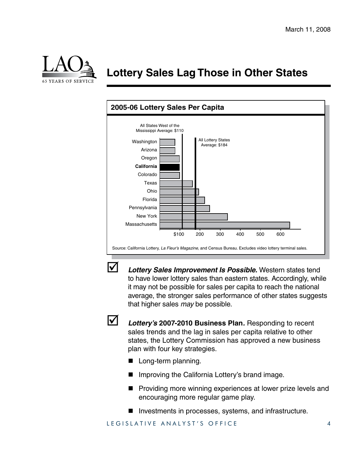

# **Lottery Sales Lag Those in Other States**





; *Lottery Sales Improvement Is Possible.* Western states tend to have lower lottery sales than eastern states. Accordingly, while it may not be possible for sales per capita to reach the national average, the stronger sales performance of other states suggests that higher sales *may* be possible.



; *Lottery's* **2007‑2010 Business Plan***.* Responding to recent sales trends and the lag in sales per capita relative to other states, the Lottery Commission has approved a new business plan with four key strategies.

- Long-term planning.
- Improving the California Lottery's brand image.
- **Providing more winning experiences at lower prize levels and** encouraging more regular game play.
- Investments in processes, systems, and infrastructure.

LEGISLATIVE ANALYST'S OFFICE 4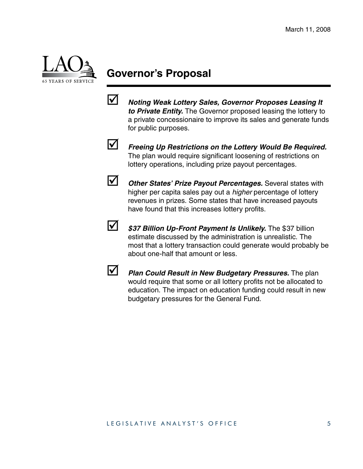

## **Governor's Proposal**

; *Noting Weak Lottery Sales, Governor Proposes Leasing It to Private Entity.* The Governor proposed leasing the lottery to a private concessionaire to improve its sales and generate funds for public purposes.



**1** Freeing Up Restrictions on the Lottery Would Be Required. The plan would require significant loosening of restrictions on lottery operations, including prize payout percentages.



**1** Other States' Prize Payout Percentages. Several states with higher per capita sales pay out a *higher* percentage of lottery revenues in prizes. Some states that have increased payouts have found that this increases lottery profits.



**1 \$37 Billion Up-Front Payment Is Unlikely.** The \$37 billion estimate discussed by the administration is unrealistic. The most that a lottery transaction could generate would probably be about one-half that amount or less.



**12 Plan Could Result in New Budgetary Pressures.** The plan would require that some or all lottery profits not be allocated to education. The impact on education funding could result in new budgetary pressures for the General Fund.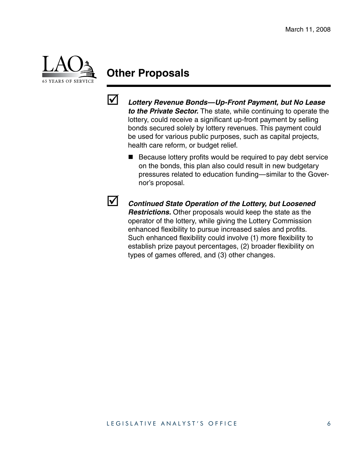

### **Other Proposals**



; *Lottery Revenue Bonds—Up-Front Payment, but No Lease to the Private Sector.* The state, while continuing to operate the lottery, could receive a significant up-front payment by selling bonds secured solely by lottery revenues. This payment could be used for various public purposes, such as capital projects, health care reform, or budget relief.

■ Because lottery profits would be required to pay debt service on the bonds, this plan also could result in new budgetary pressures related to education funding—similar to the Governor's proposal.



; *Continued State Operation of the Lottery, but Loosened Restrictions.* Other proposals would keep the state as the operator of the lottery, while giving the Lottery Commission enhanced flexibility to pursue increased sales and profits. Such enhanced flexibility could involve (1) more flexibility to establish prize payout percentages, (2) broader flexibility on types of games offered, and (3) other changes.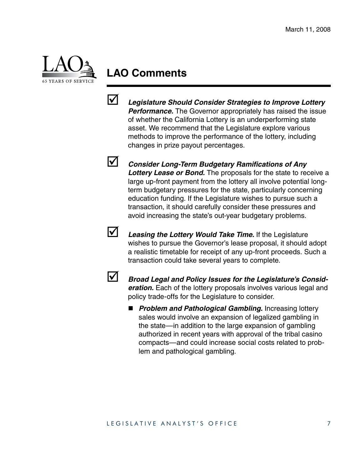

### **LAO Comments**



; *Legislature Should Consider Strategies to Improve Lottery Performance.* The Governor appropriately has raised the issue of whether the California Lottery is an underperforming state asset. We recommend that the Legislature explore various methods to improve the performance of the lottery, including changes in prize payout percentages.

; *Consider Long-Term Budgetary Ramifications of Any*  Lottery Lease or Bond. The proposals for the state to receive a large up-front payment from the lottery all involve potential longterm budgetary pressures for the state, particularly concerning education funding. If the Legislature wishes to pursue such a transaction, it should carefully consider these pressures and avoid increasing the state's out-year budgetary problems.



; *Leasing the Lottery Would Take Time.* If the Legislature wishes to pursue the Governor's lease proposal, it should adopt a realistic timetable for receipt of any up-front proceeds. Such a transaction could take several years to complete.



; *Broad Legal and Policy Issues for the Legislature's Consideration.* Each of the lottery proposals involves various legal and policy trade-offs for the Legislature to consider.

■ *Problem and Pathological Gambling.* Increasing lottery sales would involve an expansion of legalized gambling in the state—in addition to the large expansion of gambling authorized in recent years with approval of the tribal casino compacts—and could increase social costs related to problem and pathological gambling.